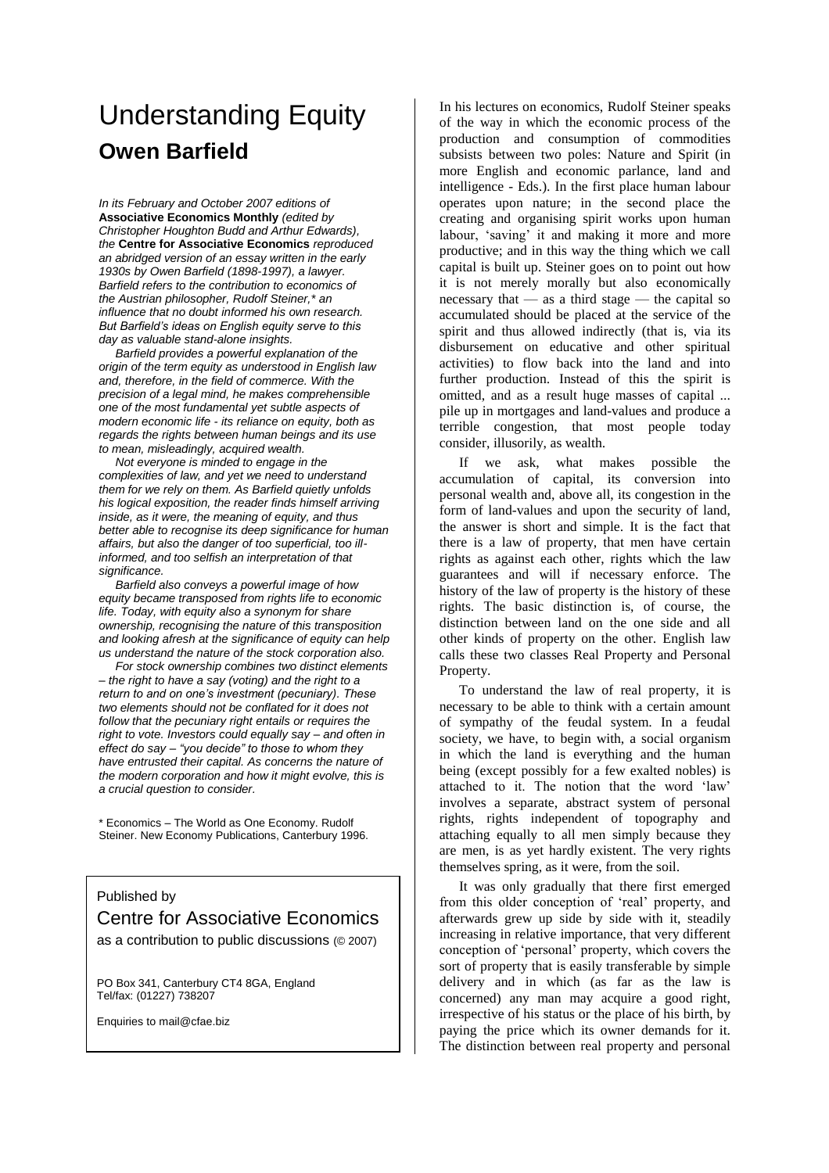## Understanding Equity **Owen Barfield**

*In its February and October 2007 editions of* **Associative Economics Monthly** *(edited by Christopher Houghton Budd and Arthur Edwards), the* **Centre for Associative Economics** *reproduced an abridged version of an essay written in the early 1930s by Owen Barfield (1898-1997), a lawyer. Barfield refers to the contribution to economics of the Austrian philosopher, Rudolf Steiner,\* an influence that no doubt informed his own research.* **But Barfield's ideas on English equity serve to this** *day as valuable stand-alone insights.*

*Barfield provides a powerful explanation of the origin of the term equity as understood in English law and, therefore, in the field of commerce. With the precision of a legal mind, he makes comprehensible one of the most fundamental yet subtle aspects of modern economic life - its reliance on equity, both as regards the rights between human beings and its use to mean, misleadingly, acquired wealth.*

*Not everyone is minded to engage in the complexities of law, and yet we need to understand them for we rely on them. As Barfield quietly unfolds his logical exposition, the reader finds himself arriving inside, as it were, the meaning of equity, and thus better able to recognise its deep significance for human affairs, but also the danger of too superficial, too illinformed, and too selfish an interpretation of that significance.*

*Barfield also conveys a powerful image of how equity became transposed from rights life to economic life. Today, with equity also a synonym for share ownership, recognising the nature of this transposition and looking afresh at the significance of equity can help us understand the nature of the stock corporation also.*

*For stock ownership combines two distinct elements –the right to have a say (voting) and the right to a* return to and on one's investment (pecuniary). These *two elements should not be conflated for it does not follow that the pecuniary right entails or requires the right to vote. Investors could equally say –and often in effect do say – "you decide" to those to whom they have entrusted their capital. As concerns the nature of the modern corporation and how it might evolve, this is a crucial question to consider.*

\* Economics –The World as One Economy. Rudolf Steiner. New Economy Publications, Canterbury 1996.

## Published by

## Centre for Associative Economics

as a contribution to public discussions (© 2007)

PO Box 341, Canterbury CT4 8GA, England Tel/fax: (01227) 738207

Enquiries to mail@cfae.biz

In his lectures on economics, Rudolf Steiner speaks of the way in which the economic process of the production and consumption of commodities subsists between two poles: Nature and Spirit (in more English and economic parlance, land and intelligence - Eds.). In the first place human labour operates upon nature; in the second place the creating and organising spirit works upon human labour, 'saving' it and making it more and more productive; and in this way the thing which we call capital is built up. Steiner goes on to point out how it is not merely morally but also economically necessary that — as a third stage — the capital so accumulated should be placed at the service of the spirit and thus allowed indirectly (that is, via its disbursement on educative and other spiritual activities) to flow back into the land and into further production. Instead of this the spirit is omitted, and as a result huge masses of capital ... pile up in mortgages and land-values and produce a terrible congestion, that most people today consider, illusorily, as wealth.

If we ask, what makes possible the accumulation of capital, its conversion into personal wealth and, above all, its congestion in the form of land-values and upon the security of land, the answer is short and simple. It is the fact that there is a law of property, that men have certain rights as against each other, rights which the law guarantees and will if necessary enforce. The history of the law of property is the history of these rights. The basic distinction is, of course, the distinction between land on the one side and all other kinds of property on the other. English law calls these two classes Real Property and Personal Property.

To understand the law of real property, it is necessary to be able to think with a certain amount of sympathy of the feudal system. In a feudal society, we have, to begin with, a social organism in which the land is everything and the human being (except possibly for a few exalted nobles) is attached to it. The notion that the word 'law' involves a separate, abstract system of personal rights, rights independent of topography and attaching equally to all men simply because they are men, is as yet hardly existent. The very rights themselves spring, as it were, from the soil.

It was only gradually that there first emerged from this older conception of 'real' property, and afterwards grew up side by side with it, steadily increasing in relative importance, that very different conception of 'personal' property, which covers the sort of property that is easily transferable by simple delivery and in which (as far as the law is concerned) any man may acquire a good right, irrespective of his status or the place of his birth, by paying the price which its owner demands for it. The distinction between real property and personal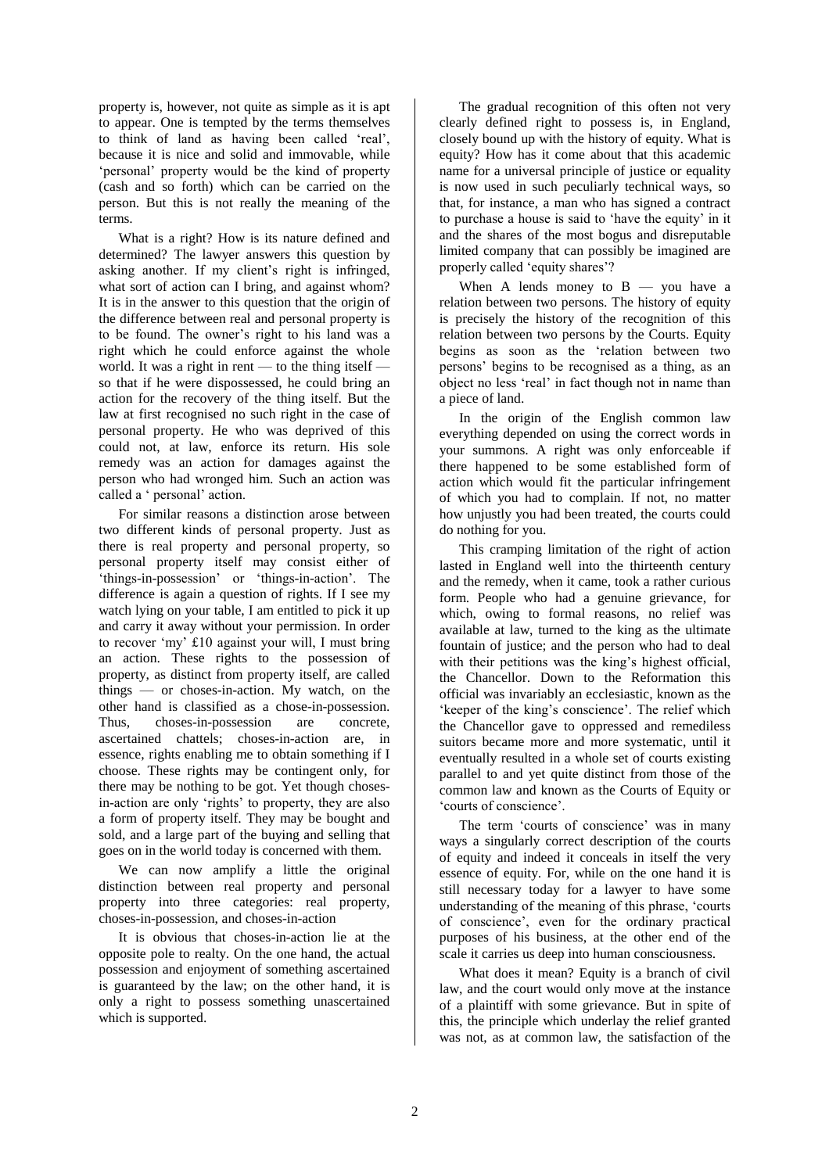property is, however, not quite as simple as it is apt to appear. One is tempted by the terms themselves to think of land as having been called 'real', because it is nice and solid and immovable, while 'personal' property would be the kind of property (cash and so forth) which can be carried on the person. But this is not really the meaning of the terms.

What is a right? How is its nature defined and determined? The lawyer answers this question by asking another. If my client's right is infringed, what sort of action can I bring, and against whom? It is in the answer to this question that the origin of the difference between real and personal property is to be found. The owner's right to his land was a right which he could enforce against the whole world. It was a right in rent — to the thing itself so that if he were dispossessed, he could bring an action for the recovery of the thing itself. But the law at first recognised no such right in the case of personal property. He who was deprived of this could not, at law, enforce its return. His sole remedy was an action for damages against the person who had wronged him. Such an action was called a ' personal' action.

For similar reasons a distinction arose between two different kinds of personal property. Just as there is real property and personal property, so personal property itself may consist either of 'things-in-possession' or 'things-in-action'. The difference is again a question of rights. If I see my watch lying on your table, I am entitled to pick it up and carry it away without your permission. In order to recover 'my' £10 against your will, I must bring an action. These rights to the possession of property, as distinct from property itself, are called things — or choses-in-action. My watch, on the other hand is classified as a chose-in-possession. Thus, choses-in-possession are concrete, ascertained chattels; choses-in-action are, in essence, rights enabling me to obtain something if I choose. These rights may be contingent only, for there may be nothing to be got. Yet though chosesin-action are only 'rights' to property, they are also a form of property itself. They may be bought and sold, and a large part of the buying and selling that goes on in the world today is concerned with them.

We can now amplify a little the original distinction between real property and personal property into three categories: real property, choses-in-possession, and choses-in-action

It is obvious that choses-in-action lie at the opposite pole to realty. On the one hand, the actual possession and enjoyment of something ascertained is guaranteed by the law; on the other hand, it is only a right to possess something unascertained which is supported.

The gradual recognition of this often not very clearly defined right to possess is, in England, closely bound up with the history of equity. What is equity? How has it come about that this academic name for a universal principle of justice or equality is now used in such peculiarly technical ways, so that, for instance, a man who has signed a contract to purchase a house is said to 'have the equity' in it and the shares of the most bogus and disreputable limited company that can possibly be imagined are properly called 'equity shares'?

When A lends money to  $B - you$  have a relation between two persons. The history of equity is precisely the history of the recognition of this relation between two persons by the Courts. Equity begins as soon as the 'relation between two persons' begins to be recognised as a thing, as an object no less 'real' in fact though not in name than a piece of land.

In the origin of the English common law everything depended on using the correct words in your summons. A right was only enforceable if there happened to be some established form of action which would fit the particular infringement of which you had to complain. If not, no matter how unjustly you had been treated, the courts could do nothing for you.

This cramping limitation of the right of action lasted in England well into the thirteenth century and the remedy, when it came, took a rather curious form. People who had a genuine grievance, for which, owing to formal reasons, no relief was available at law, turned to the king as the ultimate fountain of justice; and the person who had to deal with their petitions was the king's highest official, the Chancellor. Down to the Reformation this official was invariably an ecclesiastic, known as the 'keeper of the king's conscience'. The relief which the Chancellor gave to oppressed and remediless suitors became more and more systematic, until it eventually resulted in a whole set of courts existing parallel to and yet quite distinct from those of the common law and known as the Courts of Equity or 'courts of conscience'.

The term 'courts of conscience' was in many ways a singularly correct description of the courts of equity and indeed it conceals in itself the very essence of equity. For, while on the one hand it is still necessary today for a lawyer to have some understanding of the meaning of this phrase, 'courts' of conscience', even for the ordinary practical purposes of his business, at the other end of the scale it carries us deep into human consciousness.

What does it mean? Equity is a branch of civil law, and the court would only move at the instance of a plaintiff with some grievance. But in spite of this, the principle which underlay the relief granted was not, as at common law, the satisfaction of the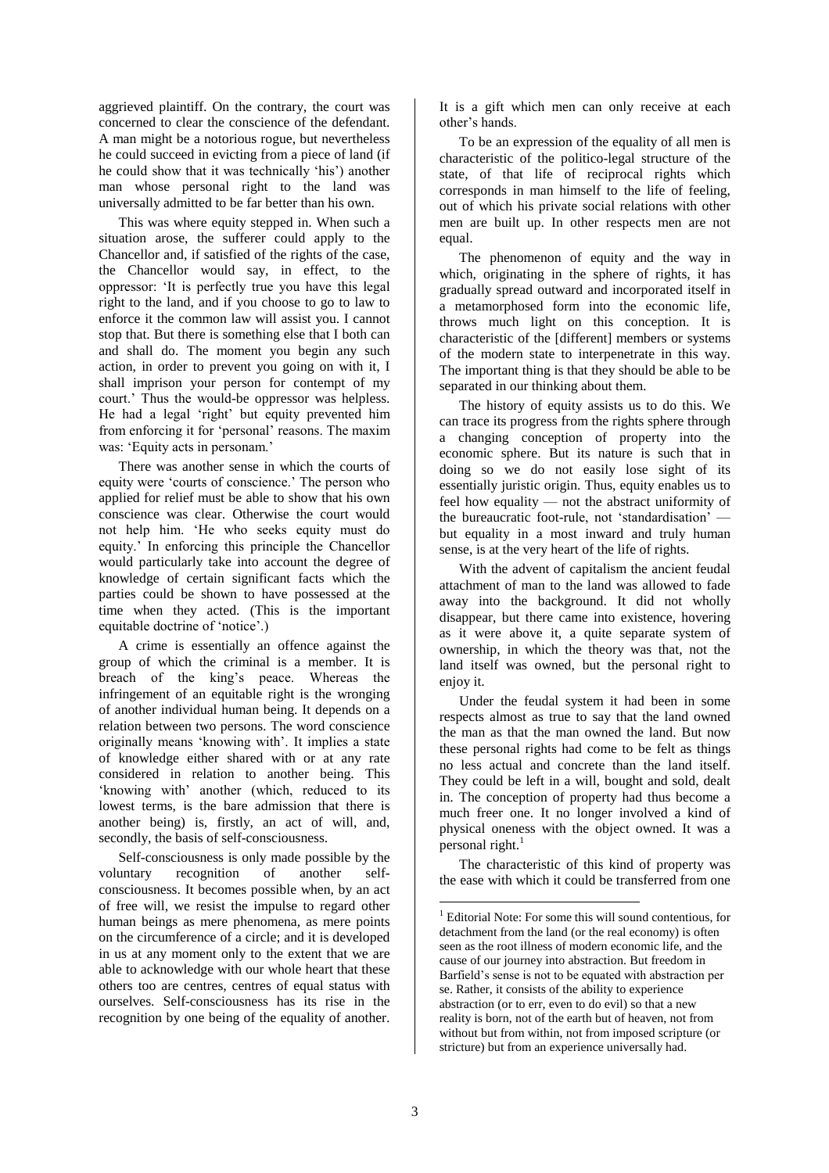aggrieved plaintiff. On the contrary, the court was concerned to clear the conscience of the defendant. A man might be a notorious rogue, but nevertheless he could succeed in evicting from a piece of land (if he could show that it was technically 'his') another man whose personal right to the land was universally admitted to be far better than his own.

This was where equity stepped in. When such a situation arose, the sufferer could apply to the Chancellor and, if satisfied of the rights of the case, the Chancellor would say, in effect, to the oppressor: 'It is perfectly true you have this legal right to the land, and if you choose to go to law to enforce it the common law will assist you. I cannot stop that. But there is something else that I both can and shall do. The moment you begin any such action, in order to prevent you going on with it, I shall imprison your person for contempt of my court.' Thus the would-be oppressor was helpless. He had a legal 'right' but equity prevented him from enforcing it for 'personal' reasons. The maxim was: 'Equity acts in personam.'

There was another sense in which the courts of equity were 'courts of conscience.' The person who applied for relief must be able to show that his own conscience was clear. Otherwise the court would not help him. 'He who seeks equity must do equity.' In enforcing this principle the Chancellor would particularly take into account the degree of knowledge of certain significant facts which the parties could be shown to have possessed at the time when they acted. (This is the important equitable doctrine of 'notice'.)

A crime is essentially an offence against the group of which the criminal is a member. It is breach of the king's peace. Whereas the infringement of an equitable right is the wronging of another individual human being. It depends on a relation between two persons. The word conscience originally means 'knowing with'. It implies a state of knowledge either shared with or at any rate considered in relation to another being. This 'knowing with' another (which, reduced to its lowest terms, is the bare admission that there is another being) is, firstly, an act of will, and, secondly, the basis of self-consciousness.

Self-consciousness is only made possible by the voluntary recognition of another selfconsciousness. It becomes possible when, by an act of free will, we resist the impulse to regard other human beings as mere phenomena, as mere points on the circumference of a circle; and it is developed in us at any moment only to the extent that we are able to acknowledge with our whole heart that these others too are centres, centres of equal status with ourselves. Self-consciousness has its rise in the recognition by one being of the equality of another. It is a gift which men can only receive at each other's hands

To be an expression of the equality of all men is characteristic of the politico-legal structure of the state, of that life of reciprocal rights which corresponds in man himself to the life of feeling, out of which his private social relations with other men are built up. In other respects men are not equal.

The phenomenon of equity and the way in which, originating in the sphere of rights, it has gradually spread outward and incorporated itself in a metamorphosed form into the economic life, throws much light on this conception. It is characteristic of the [different] members or systems of the modern state to interpenetrate in this way. The important thing is that they should be able to be separated in our thinking about them.

The history of equity assists us to do this. We can trace its progress from the rights sphere through a changing conception of property into the economic sphere. But its nature is such that in doing so we do not easily lose sight of its essentially juristic origin. Thus, equity enables us to feel how equality — not the abstract uniformity of the bureaucratic foot-rule, not 'standardisation' but equality in a most inward and truly human sense, is at the very heart of the life of rights.

With the advent of capitalism the ancient feudal attachment of man to the land was allowed to fade away into the background. It did not wholly disappear, but there came into existence, hovering as it were above it, a quite separate system of ownership, in which the theory was that, not the land itself was owned, but the personal right to enjoy it.

Under the feudal system it had been in some respects almost as true to say that the land owned the man as that the man owned the land. But now these personal rights had come to be felt as things no less actual and concrete than the land itself. They could be left in a will, bought and sold, dealt in. The conception of property had thus become a much freer one. It no longer involved a kind of physical oneness with the object owned. It was a personal right. $<sup>1</sup>$ </sup>

The characteristic of this kind of property was the ease with which it could be transferred from one

<sup>&</sup>lt;sup>1</sup> Editorial Note: For some this will sound contentious, for detachment from the land (or the real economy) is often seen as the root illness of modern economic life, and the cause of our journey into abstraction. But freedom in Barfield's sense is not to be equated with abstraction per se. Rather, it consists of the ability to experience abstraction (or to err, even to do evil) so that a new reality is born, not of the earth but of heaven, not from without but from within, not from imposed scripture (or stricture) but from an experience universally had.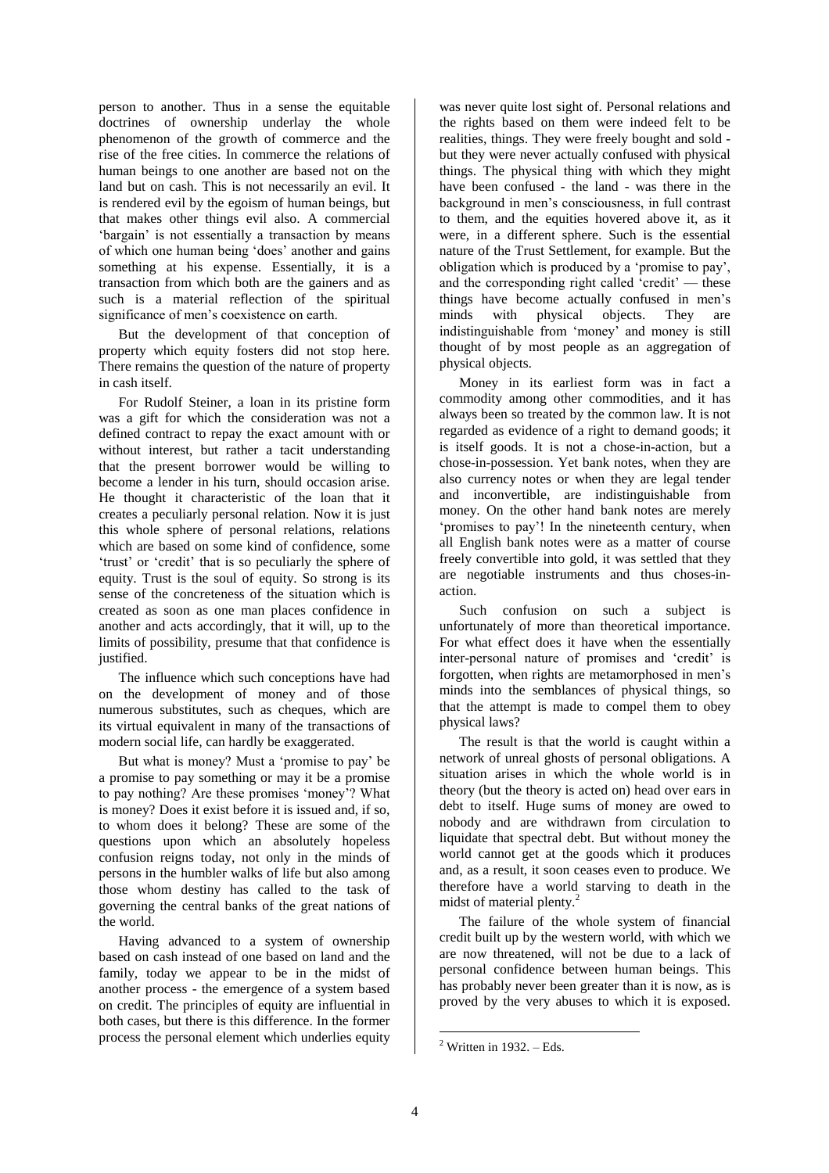person to another. Thus in a sense the equitable doctrines of ownership underlay the whole phenomenon of the growth of commerce and the rise of the free cities. In commerce the relations of human beings to one another are based not on the land but on cash. This is not necessarily an evil. It is rendered evil by the egoism of human beings, but that makes other things evil also. A commercial 'bargain' is not essentially a transaction by means of which one human being 'does' another and gains something at his expense. Essentially, it is a transaction from which both are the gainers and as such is a material reflection of the spiritual significance of men's coexistence on earth.

But the development of that conception of property which equity fosters did not stop here. There remains the question of the nature of property in cash itself.

For Rudolf Steiner, a loan in its pristine form was a gift for which the consideration was not a defined contract to repay the exact amount with or without interest, but rather a tacit understanding that the present borrower would be willing to become a lender in his turn, should occasion arise. He thought it characteristic of the loan that it creates a peculiarly personal relation. Now it is just this whole sphere of personal relations, relations which are based on some kind of confidence, some 'trust' or 'credit' that is so peculiarly the sphere of equity. Trust is the soul of equity. So strong is its sense of the concreteness of the situation which is created as soon as one man places confidence in another and acts accordingly, that it will, up to the limits of possibility, presume that that confidence is justified.

The influence which such conceptions have had on the development of money and of those numerous substitutes, such as cheques, which are its virtual equivalent in many of the transactions of modern social life, can hardly be exaggerated.

But what is money? Must a 'promise to pay' be a promise to pay something or may it be a promise to pay nothing? Are these promises 'money'? What is money? Does it exist before it is issued and, if so, to whom does it belong? These are some of the questions upon which an absolutely hopeless confusion reigns today, not only in the minds of persons in the humbler walks of life but also among those whom destiny has called to the task of governing the central banks of the great nations of the world.

Having advanced to a system of ownership based on cash instead of one based on land and the family, today we appear to be in the midst of another process - the emergence of a system based on credit. The principles of equity are influential in both cases, but there is this difference. In the former process the personal element which underlies equity

was never quite lost sight of. Personal relations and the rights based on them were indeed felt to be realities, things. They were freely bought and sold but they were never actually confused with physical things. The physical thing with which they might have been confused - the land - was there in the background in men's consciousness, in full contrast to them, and the equities hovered above it, as it were, in a different sphere. Such is the essential nature of the Trust Settlement, for example. But the obligation which is produced by a 'promise to pay', and the corresponding right called 'credit' — these things have become actually confused in men's minds with physical objects. They are indistinguishable from 'money' and money is still thought of by most people as an aggregation of physical objects.

Money in its earliest form was in fact a commodity among other commodities, and it has always been so treated by the common law. It is not regarded as evidence of a right to demand goods; it is itself goods. It is not a chose-in-action, but a chose-in-possession. Yet bank notes, when they are also currency notes or when they are legal tender and inconvertible, are indistinguishable from money. On the other hand bank notes are merely 'promises to pay'! In the nineteenth century, when all English bank notes were as a matter of course freely convertible into gold, it was settled that they are negotiable instruments and thus choses-inaction.

Such confusion on such a subject is unfortunately of more than theoretical importance. For what effect does it have when the essentially inter-personal nature of promises and 'credit' is forgotten, when rights are metamorphosed in men's minds into the semblances of physical things, so that the attempt is made to compel them to obey physical laws?

The result is that the world is caught within a network of unreal ghosts of personal obligations. A situation arises in which the whole world is in theory (but the theory is acted on) head over ears in debt to itself. Huge sums of money are owed to nobody and are withdrawn from circulation to liquidate that spectral debt. But without money the world cannot get at the goods which it produces and, as a result, it soon ceases even to produce. We therefore have a world starving to death in the midst of material plenty.<sup>2</sup>

The failure of the whole system of financial credit built up by the western world, with which we are now threatened, will not be due to a lack of personal confidence between human beings. This has probably never been greater than it is now, as is proved by the very abuses to which it is exposed.

 $2$  Written in 1932. – Eds.